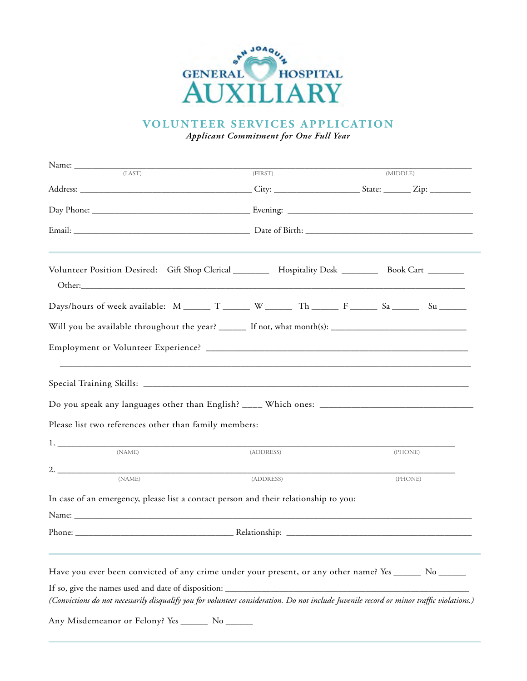

**VOLUNTEER SERVICES APPLICATION** 

*Year Full One for Commitment Applicant*

| Name:<br>(LAST)                                                                                                                          |           |         |         |          |  |
|------------------------------------------------------------------------------------------------------------------------------------------|-----------|---------|---------|----------|--|
|                                                                                                                                          |           | (FIRST) |         | (MIDDLE) |  |
|                                                                                                                                          |           |         |         |          |  |
|                                                                                                                                          |           |         |         |          |  |
|                                                                                                                                          |           |         |         |          |  |
| Volunteer Position Desired: Gift Shop Clerical ________ Hospitality Desk ________ Book Cart _______                                      |           |         |         |          |  |
|                                                                                                                                          |           |         |         |          |  |
| Will you be available throughout the year? _______ If not, what month(s): __________________________                                     |           |         |         |          |  |
|                                                                                                                                          |           |         |         |          |  |
|                                                                                                                                          |           |         |         |          |  |
|                                                                                                                                          |           |         |         |          |  |
| Please list two references other than family members:                                                                                    |           |         |         |          |  |
|                                                                                                                                          |           |         |         |          |  |
| (NAME)                                                                                                                                   | (ADDRESS) |         |         | (PHONE)  |  |
| 2. $\overline{\phantom{a}}$<br>(NAME)                                                                                                    | (ADDRESS) |         | (PHONE) |          |  |
| In case of an emergency, please list a contact person and their relationship to you:                                                     |           |         |         |          |  |
|                                                                                                                                          |           |         |         |          |  |
|                                                                                                                                          |           |         |         |          |  |
|                                                                                                                                          |           |         |         |          |  |
| Have you ever been convicted of any crime under your present, or any other name? Yes ______ No ______                                    |           |         |         |          |  |
| If so, give the names used and date of disposition:                                                                                      |           |         |         |          |  |
| (Convictions do not necessarily disqualify you for volunteer consideration. Do not include Juvenile record or minor traffic violations.) |           |         |         |          |  |
| Any Misdemeanor or Felony? Yes ________ No _______                                                                                       |           |         |         |          |  |
|                                                                                                                                          |           |         |         |          |  |